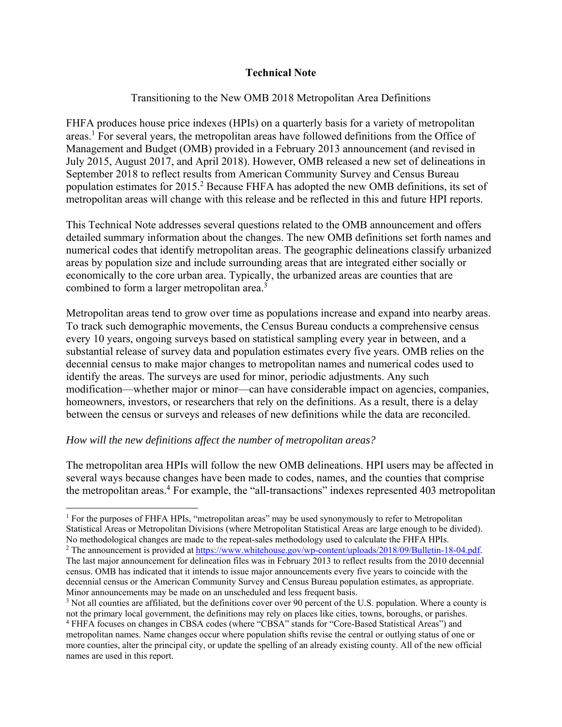# **Technical Note**

## Transitioning to the New OMB 2018 Metropolitan Area Definitions

FHFA produces house price indexes (HPIs) on a quarterly basis for a variety of metropolitan areas.<sup>1</sup> For several years, the metropolitan areas have followed definitions from the Office of Management and Budget (OMB) provided in a February 2013 announcement (and revised in July 2015, August 2017, and April 2018). However, OMB released a new set of delineations in September 2018 to reflect results from American Community Survey and Census Bureau population estimates for 2015.<sup>2</sup> Because FHFA has adopted the new OMB definitions, its set of metropolitan areas will change with this release and be reflected in this and future HPI reports.

This Technical Note addresses several questions related to the OMB announcement and offers detailed summary information about the changes. The new OMB definitions set forth names and numerical codes that identify metropolitan areas. The geographic delineations classify urbanized areas by population size and include surrounding areas that are integrated either socially or economically to the core urban area. Typically, the urbanized areas are counties that are combined to form a larger metropolitan area.<sup>3</sup>

Metropolitan areas tend to grow over time as populations increase and expand into nearby areas. To track such demographic movements, the Census Bureau conducts a comprehensive census every 10 years, ongoing surveys based on statistical sampling every year in between, and a substantial release of survey data and population estimates every five years. OMB relies on the decennial census to make major changes to metropolitan names and numerical codes used to identify the areas. The surveys are used for minor, periodic adjustments. Any such modification—whether major or minor—can have considerable impact on agencies, companies, homeowners, investors, or researchers that rely on the definitions. As a result, there is a delay between the census or surveys and releases of new definitions while the data are reconciled.

### *How will the new definitions affect the number of metropolitan areas?*

The metropolitan area HPIs will follow the new OMB delineations. HPI users may be affected in several ways because changes have been made to codes, names, and the counties that comprise the metropolitan areas.<sup>4</sup> For example, the "all-transactions" indexes represented 403 metropolitan

<sup>&</sup>lt;sup>1</sup> For the purposes of FHFA HPIs, "metropolitan areas" may be used synonymously to refer to Metropolitan Statistical Areas or Metropolitan Divisions (where Metropolitan Statistical Areas are large enough to be divided). No methodological changes are made to the repeat-sales methodology used to calculate the FHFA HPIs. 2

<sup>&</sup>lt;sup>2</sup> The announcement is provided at https://www.whitehouse.gov/wp-content/uploads/2018/09/Bulletin-18-04.pdf. The last major announcement for delineation files was in February 2013 to reflect results from the 2010 decennial census. OMB has indicated that it intends to issue major announcements every five years to coincide with the decennial census or the American Community Survey and Census Bureau population estimates, as appropriate. Minor announcements may be made on an unscheduled and less frequent basis.

<sup>&</sup>lt;sup>3</sup> Not all counties are affiliated, but the definitions cover over 90 percent of the U.S. population. Where a county is not the primary local government, the definitions may rely on places like cities, towns, boroughs, or parishes. 4 FHFA focuses on changes in CBSA codes (where "CBSA" stands for "Core-Based Statistical Areas") and metropolitan names. Name changes occur where population shifts revise the central or outlying status of one or

more counties, alter the principal city, or update the spelling of an already existing county. All of the new official names are used in this report.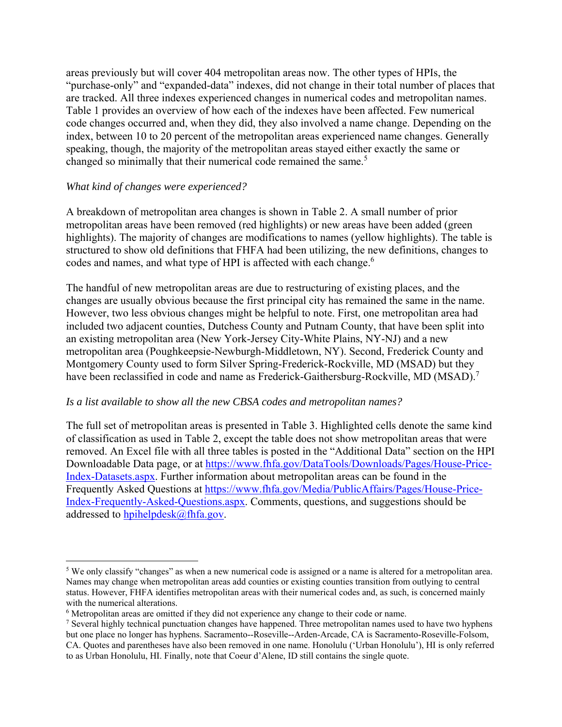areas previously but will cover 404 metropolitan areas now. The other types of HPIs, the "purchase-only" and "expanded-data" indexes, did not change in their total number of places that are tracked. All three indexes experienced changes in numerical codes and metropolitan names. Table 1 provides an overview of how each of the indexes have been affected. Few numerical code changes occurred and, when they did, they also involved a name change. Depending on the index, between 10 to 20 percent of the metropolitan areas experienced name changes. Generally speaking, though, the majority of the metropolitan areas stayed either exactly the same or changed so minimally that their numerical code remained the same.<sup>5</sup>

## *What kind of changes were experienced?*

A breakdown of metropolitan area changes is shown in Table 2. A small number of prior metropolitan areas have been removed (red highlights) or new areas have been added (green highlights). The majority of changes are modifications to names (yellow highlights). The table is structured to show old definitions that FHFA had been utilizing, the new definitions, changes to codes and names, and what type of HPI is affected with each change.<sup>6</sup>

The handful of new metropolitan areas are due to restructuring of existing places, and the changes are usually obvious because the first principal city has remained the same in the name. However, two less obvious changes might be helpful to note. First, one metropolitan area had included two adjacent counties, Dutchess County and Putnam County, that have been split into an existing metropolitan area (New York-Jersey City-White Plains, NY-NJ) and a new metropolitan area (Poughkeepsie-Newburgh-Middletown, NY). Second, Frederick County and Montgomery County used to form Silver Spring-Frederick-Rockville, MD (MSAD) but they have been reclassified in code and name as Frederick-Gaithersburg-Rockville, MD (MSAD).<sup>7</sup>

### *Is a list available to show all the new CBSA codes and metropolitan names?*

The full set of metropolitan areas is presented in Table 3. Highlighted cells denote the same kind of classification as used in Table 2, except the table does not show metropolitan areas that were removed. An Excel file with all three tables is posted in the "Additional Data" section on the HPI Downloadable Data page, or at https://www.fhfa.gov/DataTools/Downloads/Pages/House-Price-Index-Datasets.aspx. Further information about metropolitan areas can be found in the Frequently Asked Questions at https://www.fhfa.gov/Media/PublicAffairs/Pages/House-Price-Index-Frequently-Asked-Questions.aspx. Comments, questions, and suggestions should be addressed to hpihelpdesk@fhfa.gov.

<sup>&</sup>lt;sup>5</sup> We only classify "changes" as when a new numerical code is assigned or a name is altered for a metropolitan area. Names may change when metropolitan areas add counties or existing counties transition from outlying to central status. However, FHFA identifies metropolitan areas with their numerical codes and, as such, is concerned mainly with the numerical alterations.

 $^6$  Metropolitan areas are omitted if they did not experience any change to their code or name.<br><sup>7</sup> Several highly technical punctuation changes have hannened. Three metropolitan names use

<sup>&</sup>lt;sup>7</sup> Several highly technical punctuation changes have happened. Three metropolitan names used to have two hyphens but one place no longer has hyphens. Sacramento--Roseville--Arden-Arcade, CA is Sacramento-Roseville-Folsom, CA. Quotes and parentheses have also been removed in one name. Honolulu ('Urban Honolulu'), HI is only referred to as Urban Honolulu, HI. Finally, note that Coeur d'Alene, ID still contains the single quote.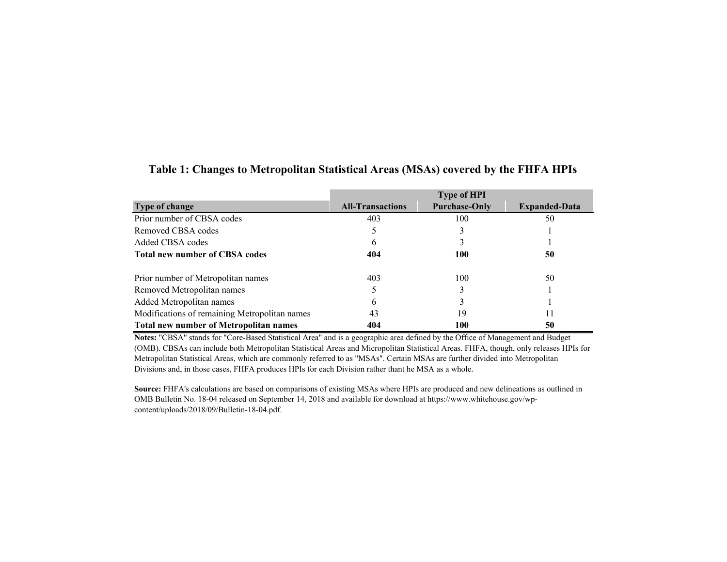|                                               |                         | <b>Type of HPI</b>   |                      |
|-----------------------------------------------|-------------------------|----------------------|----------------------|
| <b>Type of change</b>                         | <b>All-Transactions</b> | <b>Purchase-Only</b> | <b>Expanded-Data</b> |
| Prior number of CBSA codes                    | 403                     | 100                  | 50                   |
| Removed CBSA codes                            |                         |                      |                      |
| Added CBSA codes                              | <sub>b</sub>            |                      |                      |
| <b>Total new number of CBSA codes</b>         | 404                     | 100                  | 50                   |
| Prior number of Metropolitan names            | 403                     | 100                  | 50                   |
| Removed Metropolitan names                    |                         |                      |                      |
| Added Metropolitan names                      | b                       |                      |                      |
| Modifications of remaining Metropolitan names | 43                      | 19                   | 11                   |
| <b>Total new number of Metropolitan names</b> | 404                     | 100                  | 50                   |

#### **Table 1: Changes to Metropolitan Statistical Areas (MSAs) covered by the FHFA HPIs**

**Notes:** "CBSA" stands for "Core-Based Statistical Area" and is a geographic area defined by the Office of Management and Budget (OMB). CBSAs can include both Metropolitan Statistical Areas and Micropolitan Statistical Areas. FHFA, though, only releases HPIs for Metropolitan Statistical Areas, which are commonly referred to as "MSAs". Certain MSAs are further divided into Metropolitan Divisions and, in those cases, FHFA produces HPIs for each Division rather thant he MSA as a whole.

**Source:** FHFA's calculations are based on comparisons of existing MSAs where HPIs are produced and new delineations as outlined in OMB Bulletin No. 18-04 released on September 14, 2018 and available for download at https://www.whitehouse.gov/wpcontent/uploads/2018/09/Bulletin-18-04.pdf.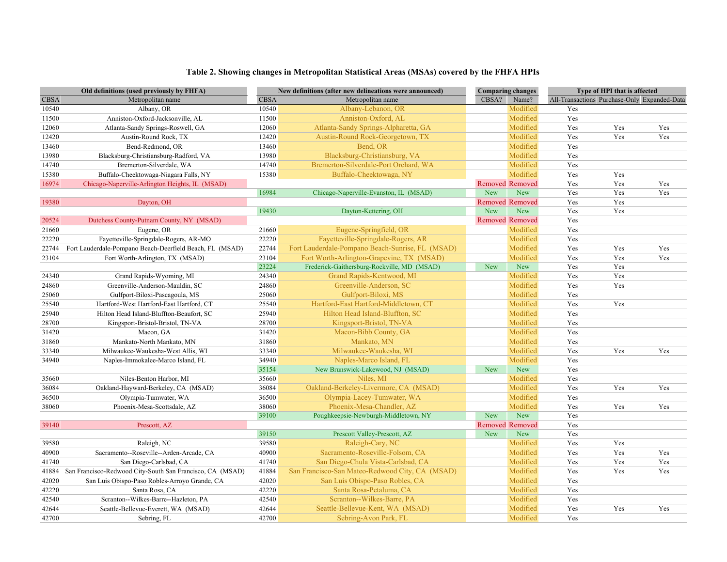#### **Table 2. Showing changes in Metropolitan Statistical Areas (MSAs) covered by the FHFA HPIs**

| Old definitions (used previously by FHFA) |                                                           | New definitions (after new delineations were announced) |                                                  | <b>Comparing changes</b> |                        | Type of HPI that is affected |     |                                              |
|-------------------------------------------|-----------------------------------------------------------|---------------------------------------------------------|--------------------------------------------------|--------------------------|------------------------|------------------------------|-----|----------------------------------------------|
| <b>CBSA</b>                               | Metropolitan name                                         | <b>CBSA</b>                                             | Metropolitan name                                | CBSA?                    | Name?                  |                              |     | All-Transactions Purchase-Only Expanded-Data |
| 10540                                     | Albany, OR                                                | 10540                                                   | Albany-Lebanon, OR                               |                          | Modified               | Yes                          |     |                                              |
| 11500                                     | Anniston-Oxford-Jacksonville, AL                          | 11500                                                   | Anniston-Oxford, AL                              |                          | Modified               | Yes                          |     |                                              |
| 12060                                     | Atlanta-Sandy Springs-Roswell, GA                         | 12060                                                   | Atlanta-Sandy Springs-Alpharetta, GA             |                          | Modified               | Yes                          | Yes | Yes                                          |
| 12420                                     | Austin-Round Rock, TX                                     | 12420                                                   | Austin-Round Rock-Georgetown, TX                 |                          | Modified               | Yes                          | Yes | Yes                                          |
| 13460                                     | Bend-Redmond, OR                                          | 13460                                                   | Bend, OR                                         |                          | Modified               | Yes                          |     |                                              |
| 13980                                     | Blacksburg-Christiansburg-Radford, VA                     | 13980                                                   | Blacksburg-Christiansburg, VA                    |                          | Modified               | Yes                          |     |                                              |
| 14740                                     | Bremerton-Silverdale, WA                                  | 14740                                                   | Bremerton-Silverdale-Port Orchard, WA            |                          | Modified               | Yes                          |     |                                              |
| 15380                                     | Buffalo-Cheektowaga-Niagara Falls, NY                     | 15380                                                   | Buffalo-Cheektowaga, NY                          |                          | Modified               | Yes                          | Yes |                                              |
| 16974                                     | Chicago-Naperville-Arlington Heights, IL (MSAD)           |                                                         |                                                  | <b>Removed Removed</b>   |                        | Yes                          | Yes | Yes                                          |
|                                           |                                                           | 16984                                                   | Chicago-Naperville-Evanston, IL (MSAD)           | New                      | <b>New</b>             | Yes                          | Yes | Yes                                          |
| 19380                                     | Dayton, OH                                                |                                                         |                                                  |                          | <b>Removed Removed</b> | Yes                          | Yes |                                              |
|                                           |                                                           | 19430                                                   | Dayton-Kettering, OH                             | <b>New</b>               | <b>New</b>             | Yes                          | Yes |                                              |
| 20524                                     | Dutchess County-Putnam County, NY (MSAD)                  |                                                         |                                                  | <b>Removed Removed</b>   |                        | Yes                          |     |                                              |
| 21660                                     | Eugene, OR                                                | 21660                                                   | Eugene-Springfield, OR                           |                          | Modified               | Yes                          |     |                                              |
| 22220                                     | Fayetteville-Springdale-Rogers, AR-MO                     | 22220                                                   | Fayetteville-Springdale-Rogers, AR               |                          | Modified               | Yes                          |     |                                              |
| 22744                                     | Fort Lauderdale-Pompano Beach-Deerfield Beach, FL (MSAD)  | 22744                                                   | Fort Lauderdale-Pompano Beach-Sunrise, FL (MSAD) |                          | Modified               | Yes                          | Yes | Yes                                          |
| 23104                                     | Fort Worth-Arlington, TX (MSAD)                           | 23104                                                   | Fort Worth-Arlington-Grapevine, TX (MSAD)        |                          | Modified               | Yes                          | Yes | Yes                                          |
|                                           |                                                           | 23224                                                   | Frederick-Gaithersburg-Rockville, MD (MSAD)      | <b>New</b>               | <b>New</b>             | Yes                          | Yes |                                              |
| 24340                                     | Grand Rapids-Wyoming, MI                                  | 24340                                                   | Grand Rapids-Kentwood, MI                        |                          | Modified               | Yes                          | Yes |                                              |
| 24860                                     | Greenville-Anderson-Mauldin, SC                           | 24860                                                   | Greenville-Anderson, SC                          |                          | Modified               | Yes                          | Yes |                                              |
| 25060                                     | Gulfport-Biloxi-Pascagoula, MS                            | 25060                                                   | Gulfport-Biloxi, MS                              |                          | Modified               | Yes                          |     |                                              |
| 25540                                     | Hartford-West Hartford-East Hartford, CT                  | 25540                                                   | Hartford-East Hartford-Middletown, CT            |                          | Modified               | Yes                          | Yes |                                              |
| 25940                                     | Hilton Head Island-Bluffton-Beaufort, SC                  | 25940                                                   | Hilton Head Island-Bluffton, SC                  |                          | Modified               | Yes                          |     |                                              |
| 28700                                     | Kingsport-Bristol-Bristol, TN-VA                          | 28700                                                   | Kingsport-Bristol, TN-VA                         |                          | Modified               | Yes                          |     |                                              |
| 31420                                     | Macon, GA                                                 | 31420                                                   | Macon-Bibb County, GA                            |                          | Modified               | Yes                          |     |                                              |
| 31860                                     | Mankato-North Mankato, MN                                 | 31860                                                   | Mankato, MN                                      |                          | Modified               | Yes                          |     |                                              |
| 33340                                     | Milwaukee-Waukesha-West Allis, WI                         | 33340                                                   | Milwaukee-Waukesha, WI                           |                          | Modified               | Yes                          | Yes | Yes                                          |
| 34940                                     | Naples-Immokalee-Marco Island, FL                         | 34940                                                   | Naples-Marco Island, FL                          |                          | Modified               | Yes                          |     |                                              |
|                                           |                                                           | 35154                                                   | New Brunswick-Lakewood, NJ (MSAD)                | <b>New</b>               | <b>New</b>             | Yes                          |     |                                              |
| 35660                                     | Niles-Benton Harbor, MI                                   | 35660                                                   | Niles, MI                                        |                          | Modified               | Yes                          |     |                                              |
| 36084                                     | Oakland-Hayward-Berkeley, CA (MSAD)                       | 36084                                                   | Oakland-Berkeley-Livermore, CA (MSAD)            |                          | Modified               | Yes                          | Yes | Yes                                          |
| 36500                                     | Olympia-Tumwater, WA                                      | 36500                                                   | Olympia-Lacey-Tumwater, WA                       |                          | Modified               | Yes                          |     |                                              |
| 38060                                     | Phoenix-Mesa-Scottsdale, AZ                               | 38060                                                   | Phoenix-Mesa-Chandler, AZ                        |                          | Modified               | Yes                          | Yes | Yes                                          |
|                                           |                                                           | 39100                                                   | Poughkeepsie-Newburgh-Middletown, NY             | <b>New</b>               | <b>New</b>             | Yes                          |     |                                              |
| 39140                                     | Prescott, AZ                                              |                                                         |                                                  |                          | <b>Removed Removed</b> | Yes                          |     |                                              |
|                                           |                                                           | 39150                                                   | Prescott Valley-Prescott, AZ                     | <b>New</b>               | New                    | Yes                          |     |                                              |
| 39580                                     | Raleigh, NC                                               | 39580                                                   | Raleigh-Cary, NC                                 |                          | Modified               | Yes                          | Yes |                                              |
| 40900                                     | Sacramento--Roseville--Arden-Arcade, CA                   | 40900                                                   | Sacramento-Roseville-Folsom, CA                  |                          | Modified               | Yes                          | Yes | Yes                                          |
| 41740                                     | San Diego-Carlsbad, CA                                    | 41740                                                   | San Diego-Chula Vista-Carlsbad, CA               |                          | Modified               | Yes                          | Yes | Yes                                          |
| 41884                                     | San Francisco-Redwood City-South San Francisco, CA (MSAD) | 41884                                                   | San Francisco-San Mateo-Redwood City, CA (MSAD)  |                          | Modified               | Yes                          | Yes | Yes                                          |
| 42020                                     | San Luis Obispo-Paso Robles-Arroyo Grande, CA             | 42020                                                   | San Luis Obispo-Paso Robles, CA                  |                          | Modified               | Yes                          |     |                                              |
| 42220                                     | Santa Rosa, CA                                            | 42220                                                   | Santa Rosa-Petaluma, CA                          |                          | Modified               | Yes                          |     |                                              |
| 42540                                     | Scranton--Wilkes-Barre--Hazleton, PA                      | 42540                                                   | Scranton--Wilkes-Barre, PA                       |                          | Modified               | Yes                          |     |                                              |
| 42644                                     | Seattle-Bellevue-Everett, WA (MSAD)                       | 42644                                                   | Seattle-Bellevue-Kent, WA (MSAD)                 |                          | Modified               | Yes                          | Yes | Yes                                          |
| 42700                                     | Sebring, FL                                               | 42700                                                   | Sebring-Avon Park, FL                            |                          | Modified               | Yes                          |     |                                              |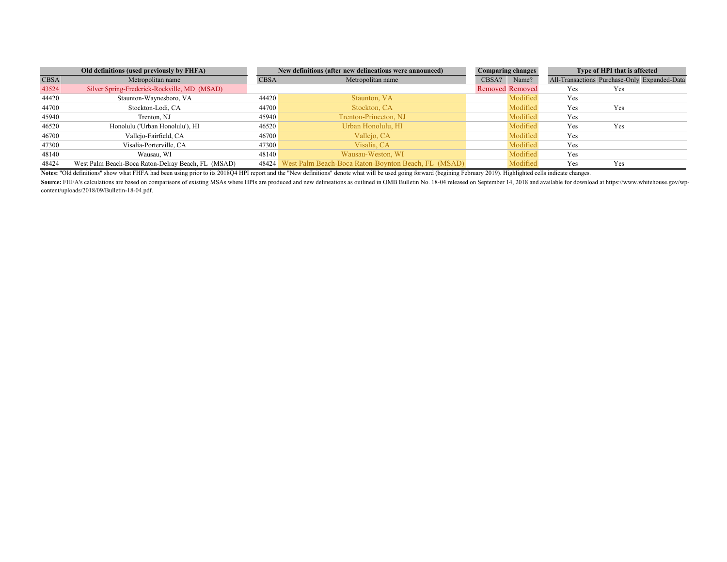|             | Old definitions (used previously by FHFA)          |             | New definitions (after new delineations were announced)   |       | <b>Comparing changes</b> |            | Type of HPI that is affected                 |  |
|-------------|----------------------------------------------------|-------------|-----------------------------------------------------------|-------|--------------------------|------------|----------------------------------------------|--|
| <b>CBSA</b> | Metropolitan name                                  | <b>CBSA</b> | Metropolitan name                                         | CBSA? | Name?                    |            | All-Transactions Purchase-Only Expanded-Data |  |
| 43524       | Silver Spring-Frederick-Rockville, MD (MSAD)       |             |                                                           |       | Removed Removed          | <b>Yes</b> | Yes                                          |  |
| 44420       | Staunton-Waynesboro, VA                            | 44420       | Staunton, VA                                              |       | Modified                 | Yes        |                                              |  |
| 44700       | Stockton-Lodi, CA                                  | 44700       | Stockton, CA                                              |       | Modified                 | Yes        | Yes                                          |  |
| 45940       | Trenton, NJ                                        | 45940       | Trenton-Princeton, NJ                                     |       | Modified                 | Yes        |                                              |  |
| 46520       | Honolulu ('Urban Honolulu'), HI                    | 46520       | Urban Honolulu, HI                                        |       | Modified                 | Yes        | Yes                                          |  |
| 46700       | Vallejo-Fairfield, CA                              | 46700       | Vallejo, CA                                               |       | Modified                 | Yes        |                                              |  |
| 47300       | Visalia-Porterville, CA                            | 47300       | Visalia. CA                                               |       | Modified                 | Yes        |                                              |  |
| 48140       | Wausau, WI                                         | 48140       | Wausau-Weston, WI                                         |       | Modified                 | Yes        |                                              |  |
| 48424       | West Palm Beach-Boca Raton-Delray Beach, FL (MSAD) |             | 48424 West Palm Beach-Boca Raton-Boynton Beach, FL (MSAD) |       | Modified                 | Yes        | Yes                                          |  |

**Notes:** "Old definitions" show what FHFA had been using prior to its 2018Q4 HPI report and the "New definitions" denote what will be used going forward (begining February 2019). Highlighted cells indicate changes.

Source: FHFA's calculations are based on comparisons of existing MSAs where HPIs are produced and new delineations as outlined in OMB Bulletin No. 18-04 released on September 14, 2018 and available for download at https:// content/uploads/2018/09/Bulletin-18-04.pdf.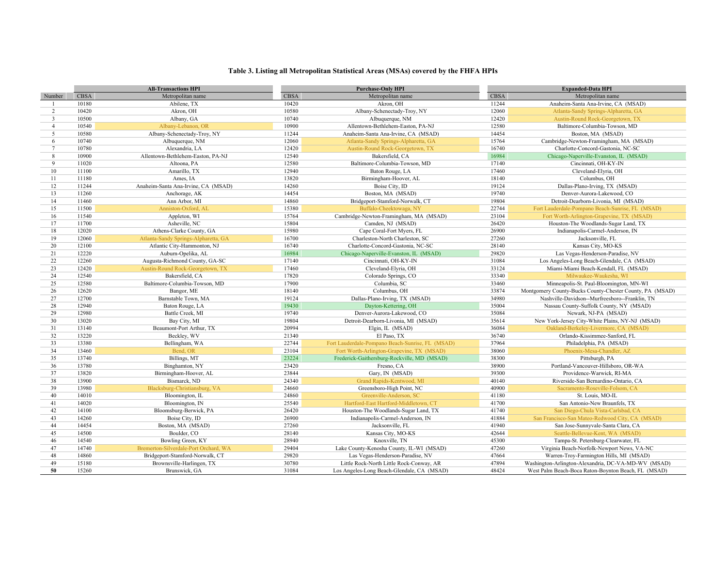#### **Table 3. Listing all Metropolitan Statistical Areas (MSAs) covered by the FHFA HPIs**

|                 |             | <b>All-Transactions HPI</b>           |             | <b>Purchase-Only HPI</b>                         |             | <b>Expanded-Data HPI</b>                                 |
|-----------------|-------------|---------------------------------------|-------------|--------------------------------------------------|-------------|----------------------------------------------------------|
| Number          | <b>CBSA</b> | Metropolitan name                     | <b>CBSA</b> | Metropolitan name                                | <b>CBSA</b> | Metropolitan name                                        |
|                 | 10180       | Abilene, TX                           | 10420       | Akron, OH                                        | 11244       | Anaheim-Santa Ana-Irvine, CA (MSAD)                      |
| 2               | 10420       | Akron, OH                             | 10580       | Albany-Schenectady-Troy, NY                      | 12060       | Atlanta-Sandy Springs-Alpharetta, GA                     |
| $\overline{3}$  | 10500       | Albany, GA                            | 10740       | Albuquerque, NM                                  | 12420       | Austin-Round Rock-Georgetown, TX                         |
| $\overline{4}$  | 10540       | Albany-Lebanon, OR                    | 10900       | Allentown-Bethlehem-Easton, PA-NJ                | 12580       | Baltimore-Columbia-Towson, MD                            |
| 5               | 10580       | Albany-Schenectady-Troy, NY           | 11244       | Anaheim-Santa Ana-Irvine, CA (MSAD)              | 14454       | Boston, MA (MSAD)                                        |
| 6               | 10740       | Albuquerque, NM                       | 12060       | Atlanta-Sandy Springs-Alpharetta, GA             | 15764       | Cambridge-Newton-Framingham, MA (MSAD)                   |
| $7\phantom{.0}$ | 10780       | Alexandria, LA                        | 12420       | Austin-Round Rock-Georgetown, TX                 | 16740       | Charlotte-Concord-Gastonia, NC-SC                        |
| 8               | 10900       | Allentown-Bethlehem-Easton, PA-NJ     | 12540       | Bakersfield, CA                                  | 16984       | Chicago-Naperville-Evanston, IL (MSAD)                   |
| $\overline{9}$  | 11020       | Altoona, PA                           | 12580       | Baltimore-Columbia-Towson, MD                    | 17140       | Cincinnati, OH-KY-IN                                     |
| 10              | 11100       | Amarillo, TX                          | 12940       | Baton Rouge, LA                                  | 17460       | Cleveland-Elyria, OH                                     |
| 11              | 11180       | Ames, IA                              | 13820       | Birmingham-Hoover, AL                            | 18140       | Columbus, OH                                             |
| 12              | 11244       | Anaheim-Santa Ana-Irvine, CA (MSAD)   | 14260       | Boise City, ID                                   | 19124       | Dallas-Plano-Irving, TX (MSAD)                           |
| 13              | 11260       | Anchorage, AK                         | 14454       | Boston, MA (MSAD)                                | 19740       | Denver-Aurora-Lakewood, CO                               |
| 14              | 11460       | Ann Arbor, MI                         | 14860       | Bridgeport-Stamford-Norwalk, CT                  | 19804       | Detroit-Dearborn-Livonia, MI (MSAD)                      |
| 15              | 11500       | Anniston-Oxford, AL                   | 15380       | Buffalo-Cheektowaga, NY                          | 22744       | Fort Lauderdale-Pompano Beach-Sunrise, FL (MSAD)         |
| 16              | 11540       | Appleton, WI                          | 15764       | Cambridge-Newton-Framingham, MA (MSAD)           | 23104       | Fort Worth-Arlington-Grapevine, TX (MSAD)                |
| 17              | 11700       | Asheville, NC                         | 15804       | Camden, NJ (MSAD)                                | 26420       | Houston-The Woodlands-Sugar Land, TX                     |
| 18              | 12020       | Athens-Clarke County, GA              | 15980       | Cape Coral-Fort Myers, FL                        | 26900       | Indianapolis-Carmel-Anderson, IN                         |
| 19              | 12060       | Atlanta-Sandy Springs-Alpharetta, GA  | 16700       | Charleston-North Charleston, SC                  | 27260       | Jacksonville, FL                                         |
| 20              | 12100       | Atlantic City-Hammonton, NJ           | 16740       | Charlotte-Concord-Gastonia, NC-SC                | 28140       | Kansas City, MO-KS                                       |
| 21              | 12220       | Auburn-Opelika, AL                    | 16984       | Chicago-Naperville-Evanston, IL (MSAD)           | 29820       | Las Vegas-Henderson-Paradise, NV                         |
| 22              | 12260       | Augusta-Richmond County, GA-SC        | 17140       | Cincinnati, OH-KY-IN                             | 31084       | Los Angeles-Long Beach-Glendale, CA (MSAD)               |
| 23              | 12420       | Austin-Round Rock-Georgetown, TX      | 17460       | Cleveland-Elyria, OH                             | 33124       | Miami-Miami Beach-Kendall, FL (MSAD)                     |
| 24              | 12540       | Bakersfield, CA                       | 17820       | Colorado Springs, CO                             | 33340       | Milwaukee-Waukesha, WI                                   |
| 25              | 12580       | Baltimore-Columbia-Towson, MD         | 17900       | Columbia, SC                                     | 33460       | Minneapolis-St. Paul-Bloomington, MN-WI                  |
| 26              | 12620       | Bangor, ME                            | 18140       | Columbus, OH                                     | 33874       | Montgomery County-Bucks County-Chester County, PA (MSAD) |
| $27\,$          | 12700       | Barnstable Town, MA                   | 19124       | Dallas-Plano-Irving, TX (MSAD)                   | 34980       | Nashville-Davidson--Murfreesboro--Franklin, TN           |
| 28              | 12940       | Baton Rouge, LA                       | 19430       | Dayton-Kettering, OH                             | 35004       | Nassau County-Suffolk County, NY (MSAD)                  |
| 29              | 12980       | Battle Creek, MI                      | 19740       | Denver-Aurora-Lakewood, CO                       | 35084       | Newark, NJ-PA (MSAD)                                     |
| 30              | 13020       | Bay City, MI                          | 19804       | Detroit-Dearborn-Livonia, MI (MSAD)              | 35614       | New York-Jersey City-White Plains, NY-NJ (MSAD)          |
| 31              | 13140       | Beaumont-Port Arthur, TX              | 20994       | Elgin, IL (MSAD)                                 | 36084       | Oakland-Berkeley-Livermore, CA (MSAD)                    |
| 32              | 13220       | Beckley, WV                           | 21340       | El Paso, TX                                      | 36740       | Orlando-Kissimmee-Sanford, FL                            |
| 33              | 13380       | Bellingham, WA                        | 22744       | Fort Lauderdale-Pompano Beach-Sunrise, FL (MSAD) | 37964       | Philadelphia, PA (MSAD)                                  |
| 34              | 13460       | Bend, OR                              | 23104       | Fort Worth-Arlington-Grapevine, TX (MSAD)        | 38060       | Phoenix-Mesa-Chandler, AZ                                |
| 35              | 13740       | Billings, MT                          | 23224       | Frederick-Gaithersburg-Rockville, MD (MSAD)      | 38300       | Pittsburgh, PA                                           |
| 36              | 13780       | Binghamton, NY                        | 23420       | Fresno, CA                                       | 38900       | Portland-Vancouver-Hillsboro, OR-WA                      |
| 37              | 13820       | Birmingham-Hoover, AL                 | 23844       | Gary, IN (MSAD)                                  | 39300       | Providence-Warwick, RI-MA                                |
| 38              | 13900       | Bismarck, ND                          | 24340       | Grand Rapids-Kentwood, MI                        | 40140       | Riverside-San Bernardino-Ontario, CA                     |
| 39              | 13980       | Blacksburg-Christiansburg, VA         | 24660       | Greensboro-High Point, NC                        | 40900       | Sacramento-Roseville-Folsom, CA                          |
| 40              | 14010       | Bloomington, IL                       | 24860       | Greenville-Anderson, SC                          | 41180       | St. Louis, MO-IL                                         |
| 41              | 14020       | Bloomington, IN                       | 25540       | Hartford-East Hartford-Middletown, CT            | 41700       | San Antonio-New Braunfels, TX                            |
| 42              | 14100       | Bloomsburg-Berwick, PA                | 26420       | Houston-The Woodlands-Sugar Land, TX             | 41740       | San Diego-Chula Vista-Carlsbad, CA                       |
| 43              | 14260       | Boise City, ID                        | 26900       | Indianapolis-Carmel-Anderson, IN                 | 41884       | San Francisco-San Mateo-Redwood City, CA (MSAD)          |
| 44              | 14454       | Boston, MA (MSAD)                     | 27260       | Jacksonville, FL                                 | 41940       | San Jose-Sunnyvale-Santa Clara, CA                       |
| 45              | 14500       | Boulder, CO                           | 28140       | Kansas City, MO-KS                               | 42644       | Seattle-Bellevue-Kent, WA (MSAD)                         |
| 46              | 14540       | Bowling Green, KY                     | 28940       | Knoxville, TN                                    | 45300       | Tampa-St. Petersburg-Clearwater, FL                      |
| 47              | 14740       | Bremerton-Silverdale-Port Orchard, WA | 29404       | Lake County-Kenosha County, IL-WI (MSAD)         | 47260       | Virginia Beach-Norfolk-Newport News, VA-NC               |
| 48              | 14860       | Bridgeport-Stamford-Norwalk, CT       | 29820       | Las Vegas-Henderson-Paradise, NV                 | 47664       | Warren-Troy-Farmington Hills, MI (MSAD)                  |
| 49              | 15180       | Brownsville-Harlingen, TX             | 30780       | Little Rock-North Little Rock-Conway, AR         | 47894       | Washington-Arlington-Alexandria, DC-VA-MD-WV (MSAD)      |
| 50              | 15260       | Brunswick, GA                         | 31084       | Los Angeles-Long Beach-Glendale, CA (MSAD)       | 48424       | West Palm Beach-Boca Raton-Boynton Beach, FL (MSAD)      |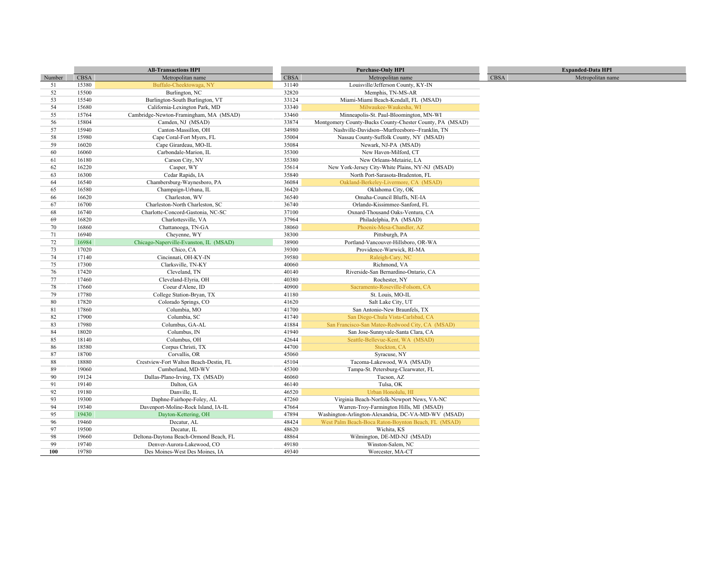|        |       | <b>All-Transactions HPI</b>            |       | <b>Purchase-Only HPI</b>                                 |             | <b>Expanded-Data HPI</b> |
|--------|-------|----------------------------------------|-------|----------------------------------------------------------|-------------|--------------------------|
| Number | CBSA  | Metropolitan name                      | CBSA  | Metropolitan name                                        | <b>CBSA</b> | Metropolitan name        |
| 51     | 15380 | Buffalo-Cheektowaga, NY                | 31140 | Louisville/Jefferson County, KY-IN                       |             |                          |
| 52     | 15500 | Burlington, NC                         | 32820 | Memphis, TN-MS-AR                                        |             |                          |
| 53     | 15540 | Burlington-South Burlington, VT        | 33124 | Miami-Miami Beach-Kendall, FL (MSAD)                     |             |                          |
| 54     | 15680 | California-Lexington Park, MD          | 33340 | Milwaukee-Waukesha, WI                                   |             |                          |
| 55     | 15764 | Cambridge-Newton-Framingham, MA (MSAD) | 33460 | Minneapolis-St. Paul-Bloomington, MN-WI                  |             |                          |
| 56     | 15804 | Camden, NJ (MSAD)                      | 33874 | Montgomery County-Bucks County-Chester County, PA (MSAD) |             |                          |
| 57     | 15940 | Canton-Massillon, OH                   | 34980 | Nashville-Davidson--Murfreesboro--Franklin, TN           |             |                          |
| 58     | 15980 | Cape Coral-Fort Myers, FL              | 35004 | Nassau County-Suffolk County, NY (MSAD)                  |             |                          |
| 59     | 16020 | Cape Girardeau, MO-IL                  | 35084 | Newark, NJ-PA (MSAD)                                     |             |                          |
| 60     | 16060 | Carbondale-Marion, IL                  | 35300 | New Haven-Milford, CT                                    |             |                          |
| 61     | 16180 | Carson City, NV                        | 35380 | New Orleans-Metairie, LA                                 |             |                          |
| 62     | 16220 | Casper, WY                             | 35614 | New York-Jersey City-White Plains, NY-NJ (MSAD)          |             |                          |
| 63     | 16300 | Cedar Rapids, IA                       | 35840 | North Port-Sarasota-Bradenton, FL                        |             |                          |
| 64     | 16540 | Chambersburg-Waynesboro, PA            | 36084 | Oakland-Berkeley-Livermore, CA (MSAD)                    |             |                          |
| 65     | 16580 | Champaign-Urbana, IL                   | 36420 | Oklahoma City, OK                                        |             |                          |
| 66     | 16620 | Charleston, WV                         | 36540 | Omaha-Council Bluffs, NE-IA                              |             |                          |
| 67     | 16700 | Charleston-North Charleston, SC        | 36740 | Orlando-Kissimmee-Sanford, FL                            |             |                          |
| 68     | 16740 | Charlotte-Concord-Gastonia, NC-SC      | 37100 | Oxnard-Thousand Oaks-Ventura, CA                         |             |                          |
| 69     | 16820 | Charlottesville, VA                    | 37964 | Philadelphia, PA (MSAD)                                  |             |                          |
| 70     | 16860 | Chattanooga, TN-GA                     | 38060 | Phoenix-Mesa-Chandler, AZ                                |             |                          |
| 71     | 16940 | Cheyenne, WY                           | 38300 | Pittsburgh, PA                                           |             |                          |
| 72     | 16984 | Chicago-Naperville-Evanston, IL (MSAD) | 38900 | Portland-Vancouver-Hillsboro, OR-WA                      |             |                          |
| 73     | 17020 | Chico, CA                              | 39300 | Providence-Warwick, RI-MA                                |             |                          |
| 74     | 17140 | Cincinnati, OH-KY-IN                   | 39580 | Raleigh-Cary, NC                                         |             |                          |
| 75     | 17300 | Clarksville, TN-KY                     | 40060 | Richmond, VA                                             |             |                          |
| 76     | 17420 | Cleveland, TN                          | 40140 | Riverside-San Bernardino-Ontario, CA                     |             |                          |
| 77     | 17460 | Cleveland-Elyria, OH                   | 40380 | Rochester, NY                                            |             |                          |
| 78     | 17660 | Coeur d'Alene, ID                      | 40900 | Sacramento-Roseville-Folsom, CA                          |             |                          |
| 79     | 17780 | College Station-Bryan, TX              | 41180 | St. Louis, MO-IL                                         |             |                          |
| 80     | 17820 | Colorado Springs, CO                   | 41620 | Salt Lake City, UT                                       |             |                          |
| 81     | 17860 | Columbia, MO                           | 41700 | San Antonio-New Braunfels, TX                            |             |                          |
| 82     | 17900 | Columbia, SC                           | 41740 | San Diego-Chula Vista-Carlsbad, CA                       |             |                          |
| 83     | 17980 | Columbus, GA-AL                        | 41884 | San Francisco-San Mateo-Redwood City, CA (MSAD)          |             |                          |
| 84     | 18020 | Columbus, IN                           | 41940 | San Jose-Sunnyvale-Santa Clara, CA                       |             |                          |
| 85     | 18140 | Columbus, OH                           | 42644 | Seattle-Bellevue-Kent, WA (MSAD)                         |             |                          |
| 86     | 18580 | Corpus Christi, TX                     | 44700 | Stockton, CA                                             |             |                          |
| 87     | 18700 | Corvallis, OR                          | 45060 | Syracuse, NY                                             |             |                          |
| 88     | 18880 | Crestview-Fort Walton Beach-Destin, FL | 45104 | Tacoma-Lakewood, WA (MSAD)                               |             |                          |
| 89     | 19060 | Cumberland, MD-WV                      | 45300 | Tampa-St. Petersburg-Clearwater, FL                      |             |                          |
| 90     | 19124 | Dallas-Plano-Irving, TX (MSAD)         | 46060 | Tucson, AZ                                               |             |                          |
| 91     | 19140 | Dalton, GA                             | 46140 | Tulsa, OK                                                |             |                          |
| 92     | 19180 | Danville, IL                           | 46520 | Urban Honolulu, HI                                       |             |                          |
| 93     | 19300 | Daphne-Fairhope-Foley, AL              | 47260 | Virginia Beach-Norfolk-Newport News, VA-NC               |             |                          |
| 94     | 19340 | Davenport-Moline-Rock Island, IA-IL    | 47664 | Warren-Troy-Farmington Hills, MI (MSAD)                  |             |                          |
| 95     | 19430 | Dayton-Kettering, OH                   | 47894 | Washington-Arlington-Alexandria, DC-VA-MD-WV (MSAD)      |             |                          |
| 96     | 19460 | Decatur, AL                            | 48424 | West Palm Beach-Boca Raton-Boynton Beach, FL (MSAD)      |             |                          |
| 97     | 19500 | Decatur, IL                            | 48620 | Wichita, KS                                              |             |                          |
| 98     | 19660 | Deltona-Daytona Beach-Ormond Beach, FL | 48864 | Wilmington, DE-MD-NJ (MSAD)                              |             |                          |
| 99     | 19740 | Denver-Aurora-Lakewood, CO             | 49180 | Winston-Salem, NC                                        |             |                          |
| 100    | 19780 | Des Moines-West Des Moines, IA         | 49340 | Worcester, MA-CT                                         |             |                          |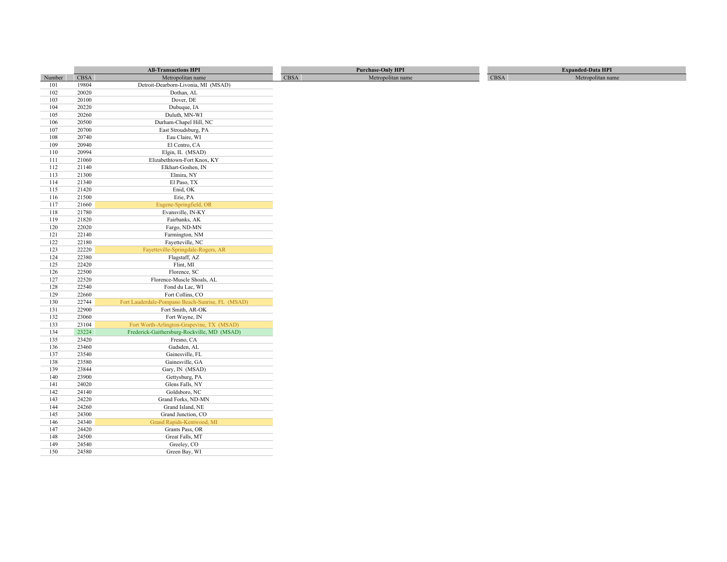|            |                | <b>All-Transactions HPI</b>                      |             | <b>Purchase-Only HPI</b> |      | <b>Expanded-Data HPI</b> |
|------------|----------------|--------------------------------------------------|-------------|--------------------------|------|--------------------------|
| Number     | <b>CBSA</b>    | Metropolitan name                                | <b>CBSA</b> | Metropolitan name        | CBSA | Metropolitan name        |
| 101        | 19804          | Detroit-Dearborn-Livonia, MI (MSAD)              |             |                          |      |                          |
| 102        | 20020          | Dothan, AL                                       |             |                          |      |                          |
| 103        | 20100          | Dover, DE                                        |             |                          |      |                          |
| 104        | 20220          | Dubuque, IA                                      |             |                          |      |                          |
| 105        | 20260          | Duluth, MN-WI                                    |             |                          |      |                          |
| 106        | 20500          | Durham-Chapel Hill, NC                           |             |                          |      |                          |
| 107        | 20700          | East Stroudsburg, PA                             |             |                          |      |                          |
| 108        | 20740          | Eau Claire, WI                                   |             |                          |      |                          |
| 109        | 20940          | El Centro, CA                                    |             |                          |      |                          |
| 110        | 20994          | Elgin, IL (MSAD)                                 |             |                          |      |                          |
| 111        | 21060          | Elizabethtown-Fort Knox, KY                      |             |                          |      |                          |
| 112        | 21140          | Elkhart-Goshen, IN                               |             |                          |      |                          |
| 113        | 21300          | Elmira, NY                                       |             |                          |      |                          |
| 114        | 21340          | El Paso, TX                                      |             |                          |      |                          |
| 115        | 21420          | Enid, OK                                         |             |                          |      |                          |
| 116        | 21500          | Erie, PA                                         |             |                          |      |                          |
| 117        | 21660          | Eugene-Springfield, OR                           |             |                          |      |                          |
| 118        | 21780          | Evansville, IN-KY                                |             |                          |      |                          |
| 119        | 21820          | Fairbanks, AK                                    |             |                          |      |                          |
| 120        | 22020          | Fargo, ND-MN                                     |             |                          |      |                          |
| 121        | 22140          | Farmington, NM                                   |             |                          |      |                          |
| 122        | 22180          | Fayetteville, NC                                 |             |                          |      |                          |
| 123        | 22220          | Fayetteville-Springdale-Rogers, AR               |             |                          |      |                          |
| 124        | 22380          | Flagstaff, AZ                                    |             |                          |      |                          |
| 125        | 22420          | Flint, MI                                        |             |                          |      |                          |
| 126        | 22500          | Florence, SC                                     |             |                          |      |                          |
| 127        | 22520          | Florence-Muscle Shoals, AL                       |             |                          |      |                          |
| 128        | 22540          | Fond du Lac, WI                                  |             |                          |      |                          |
| 129        | 22660          | Fort Collins, CO                                 |             |                          |      |                          |
| 130        | 22744          | Fort Lauderdale-Pompano Beach-Sunrise, FL (MSAD) |             |                          |      |                          |
| 131        | 22900          | Fort Smith, AR-OK                                |             |                          |      |                          |
| 132        | 23060          | Fort Wayne, IN                                   |             |                          |      |                          |
| 133        | 23104          | Fort Worth-Arlington-Grapevine, TX (MSAD)        |             |                          |      |                          |
| 134        | 23224          | Frederick-Gaithersburg-Rockville, MD (MSAD)      |             |                          |      |                          |
| 135        | 23420          | Fresno, CA                                       |             |                          |      |                          |
| 136<br>137 | 23460<br>23540 | Gadsden, AL<br>Gainesville, FL                   |             |                          |      |                          |
| 138        | 23580          | Gainesville, GA                                  |             |                          |      |                          |
| 139        | 23844          | Gary, IN (MSAD)                                  |             |                          |      |                          |
| 140        | 23900          | Gettysburg, PA                                   |             |                          |      |                          |
| 141        | 24020          | Glens Falls, NY                                  |             |                          |      |                          |
| 142        | 24140          | Goldsboro, NC                                    |             |                          |      |                          |
| 143        | 24220          | Grand Forks, ND-MN                               |             |                          |      |                          |
| 144        | 24260          | Grand Island, NE                                 |             |                          |      |                          |
| 145        | 24300          | Grand Junction, CO                               |             |                          |      |                          |
| 146        | 24340          | Grand Rapids-Kentwood, MI                        |             |                          |      |                          |
| 147        | 24420          | Grants Pass, OR                                  |             |                          |      |                          |
| 148        | 24500          | Great Falls, MT                                  |             |                          |      |                          |
| 149        | 24540          | Greeley, CO                                      |             |                          |      |                          |
| 150        | 24580          | Green Bay, WI                                    |             |                          |      |                          |
|            |                |                                                  |             |                          |      |                          |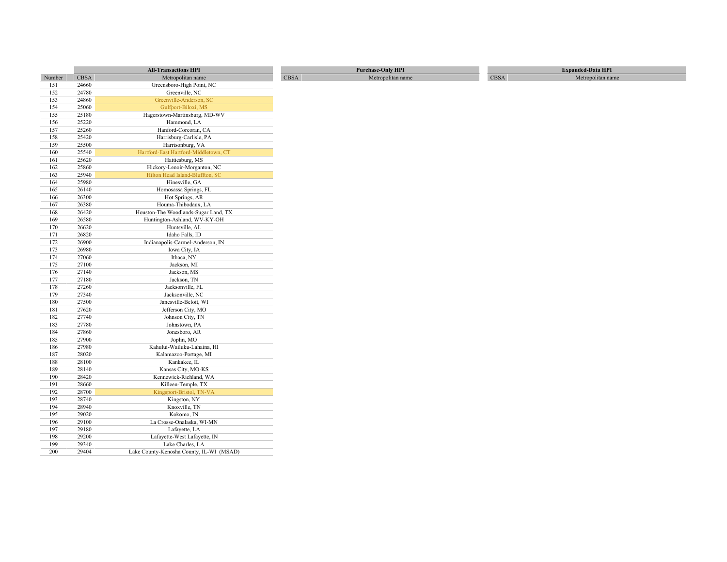|            |                | <b>All-Transactions HPI</b>              |             | <b>Purchase-Only HPI</b> |             | <b>Expanded-Data HPI</b> |
|------------|----------------|------------------------------------------|-------------|--------------------------|-------------|--------------------------|
| Number     | <b>CBSA</b>    | Metropolitan name                        | <b>CBSA</b> | Metropolitan name        | <b>CBSA</b> | Metropolitan name        |
| 151        | 24660          | Greensboro-High Point, NC                |             |                          |             |                          |
| 152        | 24780          | Greenville, NC                           |             |                          |             |                          |
| 153        | 24860          | Greenville-Anderson, SC                  |             |                          |             |                          |
| 154        | 25060          | Gulfport-Biloxi, MS                      |             |                          |             |                          |
| 155        | 25180          | Hagerstown-Martinsburg, MD-WV            |             |                          |             |                          |
| 156        | 25220          | Hammond, LA                              |             |                          |             |                          |
| 157        | 25260          | Hanford-Corcoran, CA                     |             |                          |             |                          |
| 158        | 25420          | Harrisburg-Carlisle, PA                  |             |                          |             |                          |
| 159        | 25500          | Harrisonburg, VA                         |             |                          |             |                          |
| 160        | 25540          | Hartford-East Hartford-Middletown, CT    |             |                          |             |                          |
| 161        | 25620          | Hattiesburg, MS                          |             |                          |             |                          |
| 162        | 25860          | Hickory-Lenoir-Morganton, NC             |             |                          |             |                          |
| 163        | 25940          | Hilton Head Island-Bluffton, SC          |             |                          |             |                          |
| 164        | 25980          | Hinesville, GA                           |             |                          |             |                          |
| 165        | 26140          | Homosassa Springs, FL                    |             |                          |             |                          |
| 166        | 26300          | Hot Springs, AR                          |             |                          |             |                          |
| 167        | 26380          | Houma-Thibodaux, LA                      |             |                          |             |                          |
| 168        | 26420          | Houston-The Woodlands-Sugar Land, TX     |             |                          |             |                          |
| 169        | 26580          | Huntington-Ashland, WV-KY-OH             |             |                          |             |                          |
| 170        | 26620          | Huntsville, AL                           |             |                          |             |                          |
| 171        | 26820          | Idaho Falls, ID                          |             |                          |             |                          |
| 172        | 26900          | Indianapolis-Carmel-Anderson, IN         |             |                          |             |                          |
| 173        | 26980          | Iowa City, IA                            |             |                          |             |                          |
| 174        | 27060          | Ithaca, NY                               |             |                          |             |                          |
| 175        | 27100          | Jackson, MI                              |             |                          |             |                          |
| 176        | 27140          | Jackson, MS                              |             |                          |             |                          |
| 177        | 27180          | Jackson, TN                              |             |                          |             |                          |
| 178        | 27260          | Jacksonville, FL                         |             |                          |             |                          |
| 179        | 27340          | Jacksonville, NC                         |             |                          |             |                          |
| 180        | 27500          | Janesville-Beloit, WI                    |             |                          |             |                          |
| 181        | 27620          | Jefferson City, MO                       |             |                          |             |                          |
| 182        | 27740          | Johnson City, TN                         |             |                          |             |                          |
| 183        | 27780          | Johnstown, PA                            |             |                          |             |                          |
| 184        | 27860          | Jonesboro, AR                            |             |                          |             |                          |
| 185        | 27900          | Joplin, MO                               |             |                          |             |                          |
| 186        | 27980          | Kahului-Wailuku-Lahaina, HI              |             |                          |             |                          |
| 187        | 28020          | Kalamazoo-Portage, MI                    |             |                          |             |                          |
| 188        | 28100          | Kankakee, IL                             |             |                          |             |                          |
| 189        | 28140<br>28420 | Kansas City, MO-KS                       |             |                          |             |                          |
| 190        | 28660          | Kennewick-Richland, WA                   |             |                          |             |                          |
| 191        | 28700          | Killeen-Temple, TX                       |             |                          |             |                          |
| 192<br>193 | 28740          | Kingsport-Bristol, TN-VA                 |             |                          |             |                          |
| 194        | 28940          | Kingston, NY<br>Knoxville, TN            |             |                          |             |                          |
| 195        | 29020          | Kokomo, IN                               |             |                          |             |                          |
| 196        | 29100          | La Crosse-Onalaska, WI-MN                |             |                          |             |                          |
| 197        | 29180          | Lafayette, LA                            |             |                          |             |                          |
| 198        | 29200          | Lafayette-West Lafayette, IN             |             |                          |             |                          |
| 199        | 29340          | Lake Charles, LA                         |             |                          |             |                          |
| 200        | 29404          | Lake County-Kenosha County, IL-WI (MSAD) |             |                          |             |                          |
|            |                |                                          |             |                          |             |                          |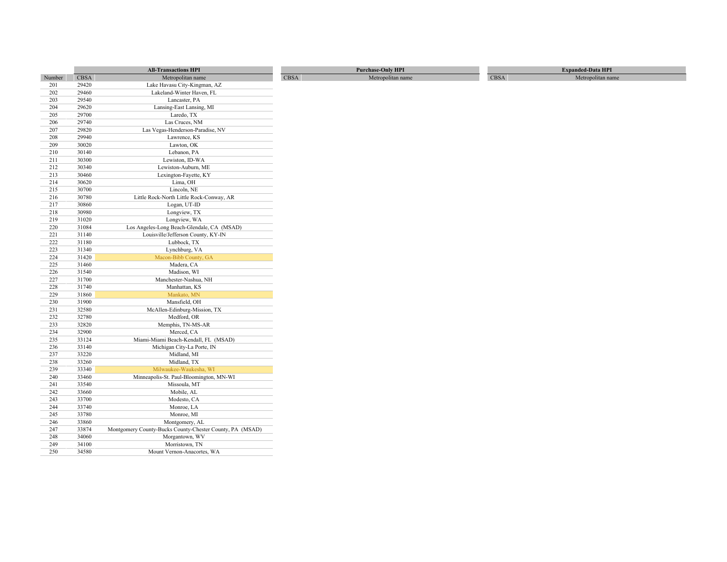|            |                | <b>All-Transactions HPI</b>                                                | <b>Purchase-Only HPI</b>  |      | <b>Expanded-Data HPI</b> |
|------------|----------------|----------------------------------------------------------------------------|---------------------------|------|--------------------------|
| Number     | <b>CBSA</b>    | Metropolitan name                                                          | CBSA<br>Metropolitan name | CBSA | Metropolitan name        |
| 201        | 29420          | Lake Havasu City-Kingman, AZ                                               |                           |      |                          |
| 202        | 29460          | Lakeland-Winter Haven, FL                                                  |                           |      |                          |
| 203        | 29540          | Lancaster, PA                                                              |                           |      |                          |
| 204        | 29620          | Lansing-East Lansing, MI                                                   |                           |      |                          |
| 205        | 29700          | Laredo, TX                                                                 |                           |      |                          |
| 206        | 29740          | Las Cruces, NM                                                             |                           |      |                          |
| 207        | 29820          | Las Vegas-Henderson-Paradise, NV                                           |                           |      |                          |
| 208        | 29940          | Lawrence, KS                                                               |                           |      |                          |
| 209        | 30020          | Lawton, OK                                                                 |                           |      |                          |
| 210        | 30140          | Lebanon, PA                                                                |                           |      |                          |
| 211        | 30300          | Lewiston, ID-WA                                                            |                           |      |                          |
| 212        | 30340          | Lewiston-Auburn, ME                                                        |                           |      |                          |
| 213        | 30460          | Lexington-Fayette, KY                                                      |                           |      |                          |
| 214        | 30620          | Lima, OH                                                                   |                           |      |                          |
| 215        | 30700          | Lincoln, NE                                                                |                           |      |                          |
| 216        | 30780          | Little Rock-North Little Rock-Conway, AR                                   |                           |      |                          |
| 217        | 30860          | Logan, UT-ID                                                               |                           |      |                          |
| 218        | 30980          | Longview, TX                                                               |                           |      |                          |
| 219        | 31020          | Longview, WA                                                               |                           |      |                          |
| 220        | 31084          | Los Angeles-Long Beach-Glendale, CA (MSAD)                                 |                           |      |                          |
| 221        | 31140          | Louisville/Jefferson County, KY-IN                                         |                           |      |                          |
| 222        | 31180          | Lubbock, TX                                                                |                           |      |                          |
| 223        | 31340          | Lynchburg, VA                                                              |                           |      |                          |
| 224        | 31420          | Macon-Bibb County, GA                                                      |                           |      |                          |
| 225        | 31460          | Madera, CA                                                                 |                           |      |                          |
| 226        | 31540          | Madison, WI                                                                |                           |      |                          |
| 227        | 31700          | Manchester-Nashua, NH                                                      |                           |      |                          |
| 228        | 31740          | Manhattan, KS                                                              |                           |      |                          |
| 229        | 31860          | Mankato, MN                                                                |                           |      |                          |
| 230        | 31900          | Mansfield, OH                                                              |                           |      |                          |
| 231        | 32580          | McAllen-Edinburg-Mission, TX                                               |                           |      |                          |
| 232        | 32780          | Medford, OR                                                                |                           |      |                          |
| 233        | 32820          | Memphis, TN-MS-AR                                                          |                           |      |                          |
| 234        | 32900          | Merced, CA                                                                 |                           |      |                          |
| 235        | 33124          | Miami-Miami Beach-Kendall, FL (MSAD)                                       |                           |      |                          |
| 236        | 33140          | Michigan City-La Porte, IN                                                 |                           |      |                          |
| 237        | 33220          | Midland, MI                                                                |                           |      |                          |
| 238        | 33260          | Midland, TX                                                                |                           |      |                          |
| 239        | 33340          | Milwaukee-Waukesha, WI                                                     |                           |      |                          |
| 240        | 33460<br>33540 | Minneapolis-St. Paul-Bloomington, MN-WI<br>Missoula, MT                    |                           |      |                          |
| 241        | 33660          | Mobile, AL                                                                 |                           |      |                          |
| 242        |                |                                                                            |                           |      |                          |
| 243        | 33700<br>33740 | Modesto, CA<br>Monroe, LA                                                  |                           |      |                          |
| 244        |                |                                                                            |                           |      |                          |
| 245        | 33780<br>33860 | Monroe, MI                                                                 |                           |      |                          |
| 246<br>247 | 33874          | Montgomery, AL<br>Montgomery County-Bucks County-Chester County, PA (MSAD) |                           |      |                          |
| 248        | 34060          | Morgantown, WV                                                             |                           |      |                          |
| 249        | 34100          | Morristown, TN                                                             |                           |      |                          |
| 250        | 34580          | Mount Vernon-Anacortes, WA                                                 |                           |      |                          |
|            |                |                                                                            |                           |      |                          |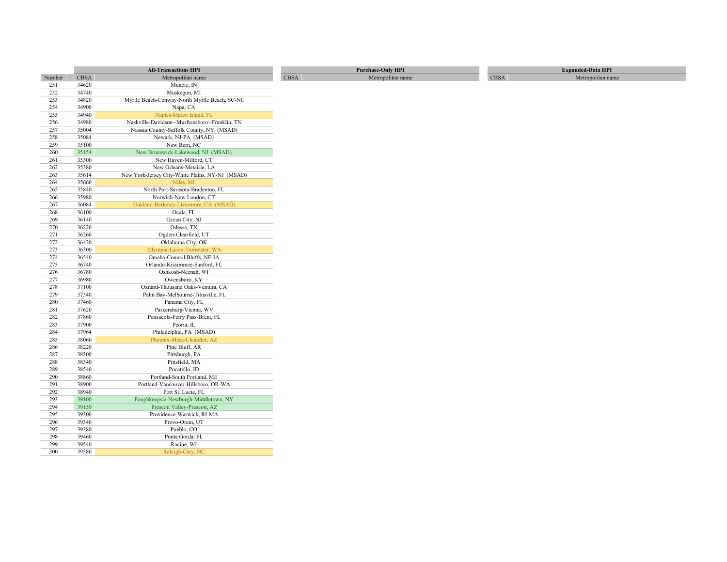|            |                | <b>All-Transactions HPI</b>                     | <b>Purchase-Only HPI</b>         |      | <b>Expanded-Data HPI</b> |
|------------|----------------|-------------------------------------------------|----------------------------------|------|--------------------------|
| Number     | <b>CBSA</b>    | Metropolitan name                               | <b>CBSA</b><br>Metropolitan name | CBSA | Metropolitan name        |
| 251        | 34620          | Muncie, IN                                      |                                  |      |                          |
| 252        | 34740          | Muskegon, MI                                    |                                  |      |                          |
| 253        | 34820          | Myrtle Beach-Conway-North Myrtle Beach, SC-NC   |                                  |      |                          |
| 254        | 34900          | Napa, CA                                        |                                  |      |                          |
| 255        | 34940          | Naples-Marco Island, FL                         |                                  |      |                          |
| 256        | 34980          | Nashville-Davidson--Murfreesboro--Franklin, TN  |                                  |      |                          |
| 257        | 35004          | Nassau County-Suffolk County, NY (MSAD)         |                                  |      |                          |
| 258        | 35084          | Newark, NJ-PA (MSAD)                            |                                  |      |                          |
| 259        | 35100          | New Bern, NC                                    |                                  |      |                          |
| 260        | 35154          | New Brunswick-Lakewood, NJ (MSAD)               |                                  |      |                          |
| 261        | 35300          | New Haven-Milford, CT                           |                                  |      |                          |
| 262        | 35380          | New Orleans-Metairie, LA                        |                                  |      |                          |
| 263        | 35614          | New York-Jersey City-White Plains, NY-NJ (MSAD) |                                  |      |                          |
| 264        | 35660          | Niles, MI                                       |                                  |      |                          |
| 265        | 35840          | North Port-Sarasota-Bradenton, FL               |                                  |      |                          |
| 266        | 35980          | Norwich-New London, CT                          |                                  |      |                          |
| 267        | 36084          | Oakland-Berkeley-Livermore, CA (MSAD)           |                                  |      |                          |
| 268        | 36100          | Ocala, FL                                       |                                  |      |                          |
| 269        | 36140          | Ocean City, NJ                                  |                                  |      |                          |
| 270        | 36220          | Odessa, TX                                      |                                  |      |                          |
| 271        | 36260          | Ogden-Clearfield, UT                            |                                  |      |                          |
| 272        | 36420          | Oklahoma City, OK                               |                                  |      |                          |
| 273        | 36500          | Olympia-Lacey-Tumwater, WA                      |                                  |      |                          |
| 274        | 36540          | Omaha-Council Bluffs, NE-IA                     |                                  |      |                          |
| 275        | 36740          | Orlando-Kissimmee-Sanford, FL                   |                                  |      |                          |
| 276        | 36780          | Oshkosh-Neenah, WI                              |                                  |      |                          |
| 277        | 36980          | Owensboro, KY                                   |                                  |      |                          |
| 278        | 37100          | Oxnard-Thousand Oaks-Ventura, CA                |                                  |      |                          |
| 279        | 37340          | Palm Bay-Melbourne-Titusville, FL               |                                  |      |                          |
| 280        | 37460          | Panama City, FL                                 |                                  |      |                          |
| 281        | 37620          | Parkersburg-Vienna, WV                          |                                  |      |                          |
| 282        | 37860<br>37900 | Pensacola-Ferry Pass-Brent, FL                  |                                  |      |                          |
| 283        |                | Peoria, IL                                      |                                  |      |                          |
| 284        | 37964          | Philadelphia, PA (MSAD)                         |                                  |      |                          |
| 285<br>286 | 38060<br>38220 | Phoenix-Mesa-Chandler, AZ<br>Pine Bluff, AR     |                                  |      |                          |
| 287        | 38300          |                                                 |                                  |      |                          |
| 288        | 38340          | Pittsburgh, PA<br>Pittsfield, MA                |                                  |      |                          |
| 289        | 38540          | Pocatello, ID                                   |                                  |      |                          |
| 290        | 38860          | Portland-South Portland, ME                     |                                  |      |                          |
| 291        | 38900          | Portland-Vancouver-Hillsboro, OR-WA             |                                  |      |                          |
| 292        | 38940          | Port St. Lucie, FL                              |                                  |      |                          |
| 293        | 39100          | Poughkeepsie-Newburgh-Middletown, NY            |                                  |      |                          |
| 294        | 39150          | Prescott Valley-Prescott, AZ                    |                                  |      |                          |
| 295        | 39300          | Providence-Warwick, RI-MA                       |                                  |      |                          |
| 296        | 39340          | Provo-Orem, UT                                  |                                  |      |                          |
| 297        | 39380          | Pueblo, CO                                      |                                  |      |                          |
| 298        | 39460          | Punta Gorda, FL                                 |                                  |      |                          |
| 299        | 39540          | Racine, WI                                      |                                  |      |                          |
| 300        | 39580          | Raleigh-Cary, NC                                |                                  |      |                          |
|            |                |                                                 |                                  |      |                          |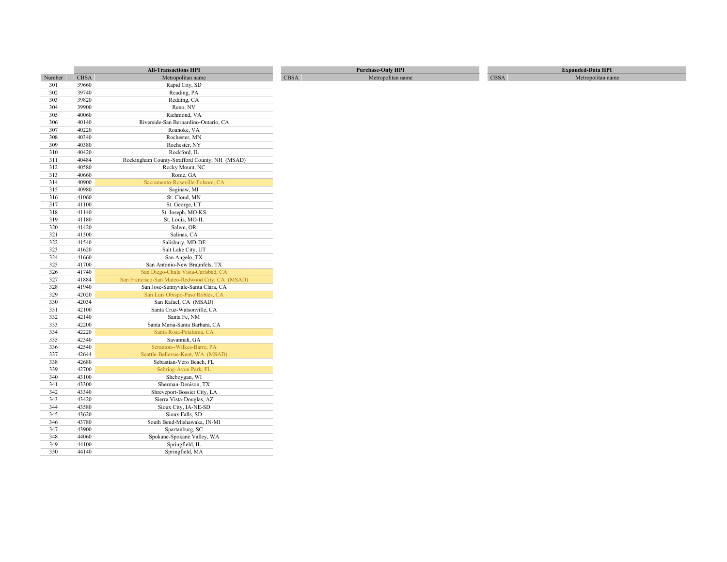|        |             | <b>All-Transactions HPI</b>                     |            | <b>Purchase-Only HPI</b> |      | <b>Expanded-Data HPI</b> |
|--------|-------------|-------------------------------------------------|------------|--------------------------|------|--------------------------|
| Number | <b>CBSA</b> | Metropolitan name                               | $\rm CBSA$ | Metropolitan name        | CBSA | Metropolitan name        |
| 301    | 39660       | Rapid City, SD                                  |            |                          |      |                          |
| 302    | 39740       | Reading, PA                                     |            |                          |      |                          |
| 303    | 39820       | Redding, CA                                     |            |                          |      |                          |
| 304    | 39900       | Reno, NV                                        |            |                          |      |                          |
| 305    | 40060       | Richmond, VA                                    |            |                          |      |                          |
| 306    | 40140       | Riverside-San Bernardino-Ontario, CA            |            |                          |      |                          |
| 307    | 40220       | Roanoke, VA                                     |            |                          |      |                          |
| 308    | 40340       | Rochester, MN                                   |            |                          |      |                          |
| 309    | 40380       | Rochester, NY                                   |            |                          |      |                          |
| 310    | 40420       | Rockford, IL                                    |            |                          |      |                          |
| 311    | 40484       | Rockingham County-Strafford County, NH (MSAD)   |            |                          |      |                          |
| 312    | 40580       | Rocky Mount, NC                                 |            |                          |      |                          |
| 313    | 40660       | Rome, GA                                        |            |                          |      |                          |
| 314    | 40900       | Sacramento-Roseville-Folsom, CA                 |            |                          |      |                          |
| 315    | 40980       | Saginaw, MI                                     |            |                          |      |                          |
| 316    | 41060       | St. Cloud, MN                                   |            |                          |      |                          |
| 317    | 41100       | St. George, UT                                  |            |                          |      |                          |
| 318    | 41140       | St. Joseph, MO-KS                               |            |                          |      |                          |
| 319    | 41180       | St. Louis, MO-IL                                |            |                          |      |                          |
| 320    | 41420       | Salem, OR                                       |            |                          |      |                          |
| 321    | 41500       | Salinas, CA                                     |            |                          |      |                          |
| 322    | 41540       | Salisbury, MD-DE                                |            |                          |      |                          |
| 323    | 41620       | Salt Lake City, UT                              |            |                          |      |                          |
| 324    | 41660       | San Angelo, TX                                  |            |                          |      |                          |
| 325    | 41700       | San Antonio-New Braunfels, TX                   |            |                          |      |                          |
| 326    | 41740       | San Diego-Chula Vista-Carlsbad, CA              |            |                          |      |                          |
| 327    | 41884       | San Francisco-San Mateo-Redwood City, CA (MSAD) |            |                          |      |                          |
| 328    | 41940       | San Jose-Sunnyvale-Santa Clara, CA              |            |                          |      |                          |
| 329    | 42020       | San Luis Obispo-Paso Robles, CA                 |            |                          |      |                          |
| 330    | 42034       | San Rafael, CA (MSAD)                           |            |                          |      |                          |
| 331    | 42100       | Santa Cruz-Watsonville, CA                      |            |                          |      |                          |
| 332    | 42140       | Santa Fe, NM                                    |            |                          |      |                          |
| 333    | 42200       | Santa Maria-Santa Barbara, CA                   |            |                          |      |                          |
| 334    | 42220       | Santa Rosa-Petaluma, CA                         |            |                          |      |                          |
| 335    | 42340       | Savannah, GA                                    |            |                          |      |                          |
| 336    | 42540       | Scranton--Wilkes-Barre, PA                      |            |                          |      |                          |
| 337    | 42644       | Seattle-Bellevue-Kent, WA (MSAD)                |            |                          |      |                          |
| 338    | 42680       | Sebastian-Vero Beach, FL                        |            |                          |      |                          |
| 339    | 42700       | Sebring-Avon Park, FL                           |            |                          |      |                          |
| 340    | 43100       | Sheboygan, WI                                   |            |                          |      |                          |
| 341    | 43300       | Sherman-Denison, TX                             |            |                          |      |                          |
| 342    | 43340       | Shreveport-Bossier City, LA                     |            |                          |      |                          |
| 343    | 43420       | Sierra Vista-Douglas, AZ                        |            |                          |      |                          |
| 344    | 43580       | Sioux City, IA-NE-SD                            |            |                          |      |                          |
| 345    | 43620       | Sioux Falls, SD                                 |            |                          |      |                          |
| 346    | 43780       | South Bend-Mishawaka, IN-MI                     |            |                          |      |                          |
| 347    | 43900       | Spartanburg, SC                                 |            |                          |      |                          |
| 348    | 44060       | Spokane-Spokane Valley, WA                      |            |                          |      |                          |
| 349    | 44100       | Springfield, IL                                 |            |                          |      |                          |
| 350    | 44140       | Springfield, MA                                 |            |                          |      |                          |
|        |             |                                                 |            |                          |      |                          |